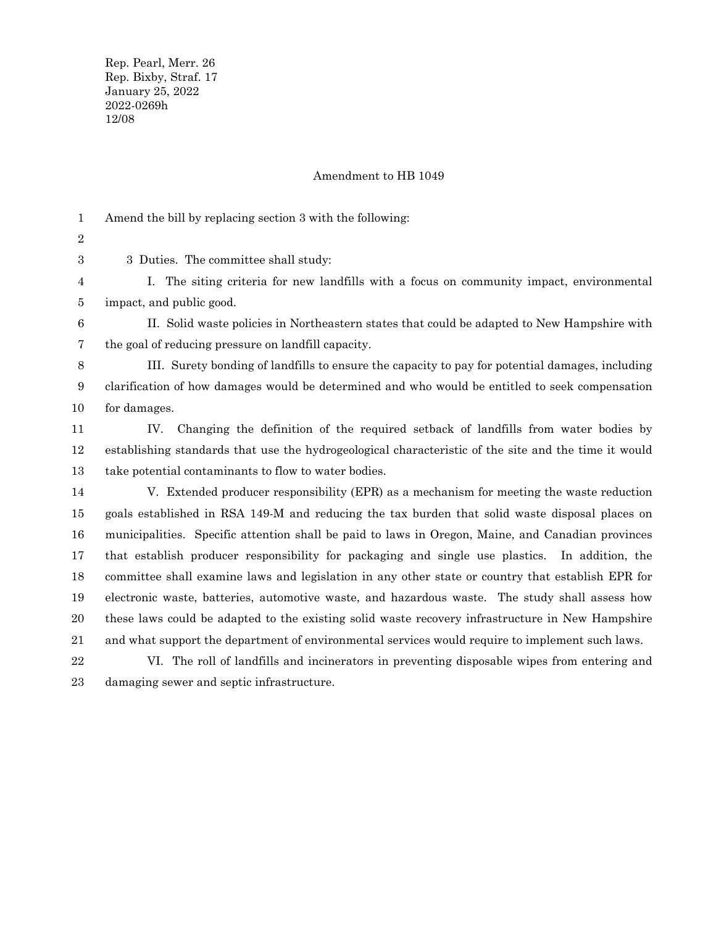Rep. Pearl, Merr. 26 Rep. Bixby, Straf. 17 January 25, 2022 2022-0269h 12/08

## Amendment to HB 1049

Amend the bill by replacing section 3 with the following: 1

2 3

3 Duties. The committee shall study:

I. The siting criteria for new landfills with a focus on community impact, environmental impact, and public good. 4 5

II. Solid waste policies in Northeastern states that could be adapted to New Hampshire with the goal of reducing pressure on landfill capacity. 6 7

III. Surety bonding of landfills to ensure the capacity to pay for potential damages, including clarification of how damages would be determined and who would be entitled to seek compensation for damages. 8 9 10

IV. Changing the definition of the required setback of landfills from water bodies by establishing standards that use the hydrogeological characteristic of the site and the time it would take potential contaminants to flow to water bodies. 11 12 13

V. Extended producer responsibility (EPR) as a mechanism for meeting the waste reduction goals established in RSA 149-M and reducing the tax burden that solid waste disposal places on municipalities. Specific attention shall be paid to laws in Oregon, Maine, and Canadian provinces that establish producer responsibility for packaging and single use plastics. In addition, the committee shall examine laws and legislation in any other state or country that establish EPR for electronic waste, batteries, automotive waste, and hazardous waste. The study shall assess how these laws could be adapted to the existing solid waste recovery infrastructure in New Hampshire and what support the department of environmental services would require to implement such laws. 14 15 16 17 18 19 20 21

VI. The roll of landfills and incinerators in preventing disposable wipes from entering and damaging sewer and septic infrastructure. 22 23